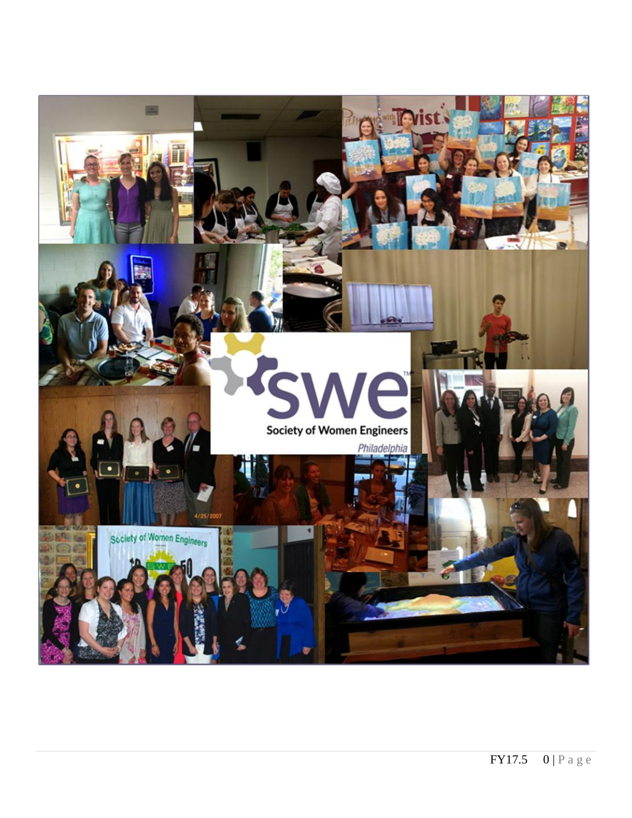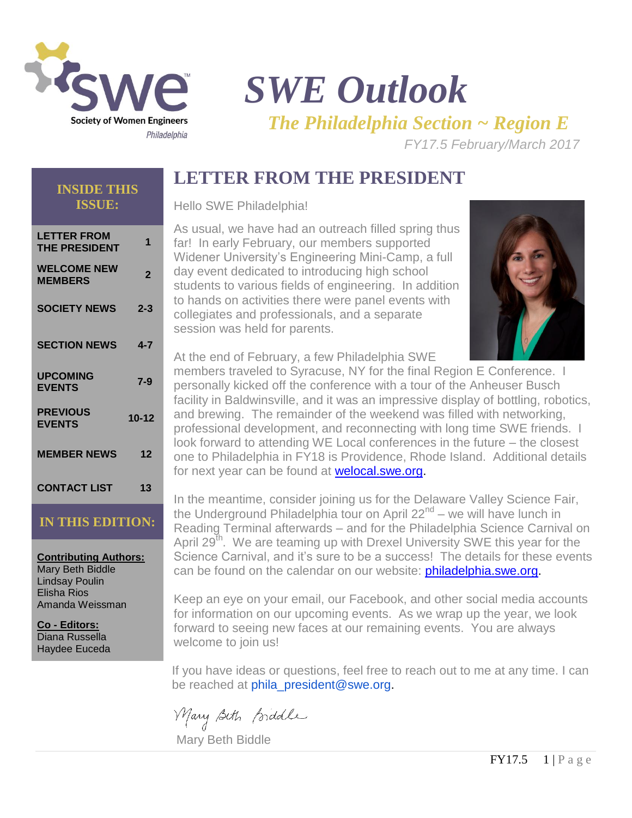

**INSIDE THIS ISSUE:**

# *SWE Outlook*

*The Philadelphia Section ~ Region E*

*FY17.5 February/March 2017* 

# **LETTER FROM THE PRESIDENT**

Hello SWE Philadelphia!

| LETTER FROM<br><b>THE PRESIDENT</b>  | 1         |
|--------------------------------------|-----------|
| <b>WELCOME NEW</b><br><b>MEMBERS</b> | 2         |
| <b>SOCIETY NEWS</b>                  | $2 - 3$   |
| <b>SECTION NEWS</b>                  | $4 - 7$   |
| <b>UPCOMING</b><br><b>EVENTS</b>     | 7-9       |
| <b>PREVIOUS</b><br><b>EVENTS</b>     | $10 - 12$ |
| <b>MEMBER NEWS</b>                   | 12        |
| <b>CONTACT LIST</b>                  | 13        |

### **IN THIS EDITION:**

**Contributing Authors:** Mary Beth Biddle Lindsay Poulin Elisha Rios Amanda Weissman

**Co - Editors:** Diana Russella Haydee Euceda

As usual, we have had an outreach filled spring thus far! In early February, our members supported Widener University's Engineering Mini-Camp, a full day event dedicated to introducing high school students to various fields of engineering. In addition to hands on activities there were panel events with collegiates and professionals, and a separate session was held for parents.



At the end of February, a few Philadelphia SWE

members traveled to Syracuse, NY for the final Region E Conference. I personally kicked off the conference with a tour of the Anheuser Busch facility in Baldwinsville, and it was an impressive display of bottling, robotics, and brewing. The remainder of the weekend was filled with networking, professional development, and reconnecting with long time SWE friends. I look forward to attending WE Local conferences in the future – the closest one to Philadelphia in FY18 is Providence, Rhode Island. Additional details for next year can be found at **welocal.swe.org.** 

In the meantime, consider joining us for the Delaware Valley Science Fair, the Underground Philadelphia tour on April 22<sup>nd</sup> – we will have lunch in Reading Terminal afterwards – and for the Philadelphia Science Carnival on April 29<sup>th</sup>. We are teaming up with Drexel University SWE this year for the Science Carnival, and it's sure to be a success! The details for these events can be found on the calendar on our website: **[philadelphia.swe.org.](philadelphia.swe.org)** 

Keep an eye on your email, our Facebook, and other social media accounts for information on our upcoming events. As we wrap up the year, we look forward to seeing new faces at our remaining events. You are always welcome to join us!

If you have ideas or questions, feel free to reach out to me at any time. I can be reached at phila\_president@swe.org.

Mary Beth Biddle

Mary Beth Biddle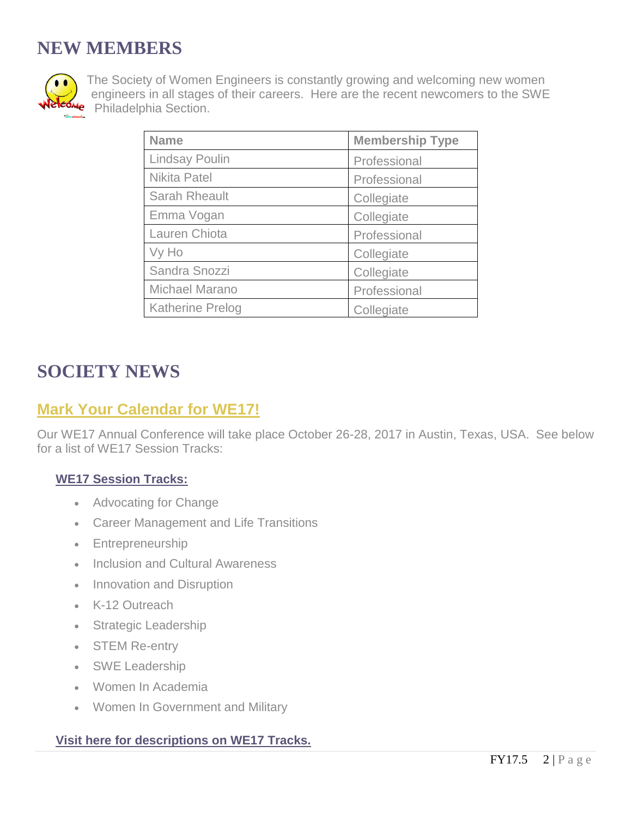# **NEW MEMBERS**



The Society of Women Engineers is constantly growing and welcoming new women engineers in all stages of their careers. Here are the recent newcomers to the SWE **Philadelphia Section.** 

| <b>Name</b>             | <b>Membership Type</b> |
|-------------------------|------------------------|
| <b>Lindsay Poulin</b>   | Professional           |
| <b>Nikita Patel</b>     | Professional           |
| Sarah Rheault           | Collegiate             |
| Emma Vogan              | Collegiate             |
| Lauren Chiota           | Professional           |
| Vy Ho                   | Collegiate             |
| Sandra Snozzi           | Collegiate             |
| <b>Michael Marano</b>   | Professional           |
| <b>Katherine Prelog</b> | Collegiate             |

# **SOCIETY NEWS**

## **Mark Your Calendar for WE17!**

Our WE17 Annual Conference will take place October 26-28, 2017 in Austin, Texas, USA. See below for a list of WE17 Session Tracks:

### **[WE17 Session Tracks:](http://online.swe.org/swessa/ecmssamsganalytics.click_through?p_mail_id=E160287A3413683B1C1871552)**

- Advocating for Change
- Career Management and Life Transitions
- Entrepreneurship
- Inclusion and Cultural Awareness
- Innovation and Disruption
- K-12 Outreach
- Strategic Leadership
- STEM Re-entry
- SWE Leadership
- Women In Academia
- Women In Government and Military

#### **[Visit here for descriptions on WE17 Tracks.](http://online.swe.org/swessa/ecmssamsganalytics.click_through?p_mail_id=E160287A3413683B1C1871552)**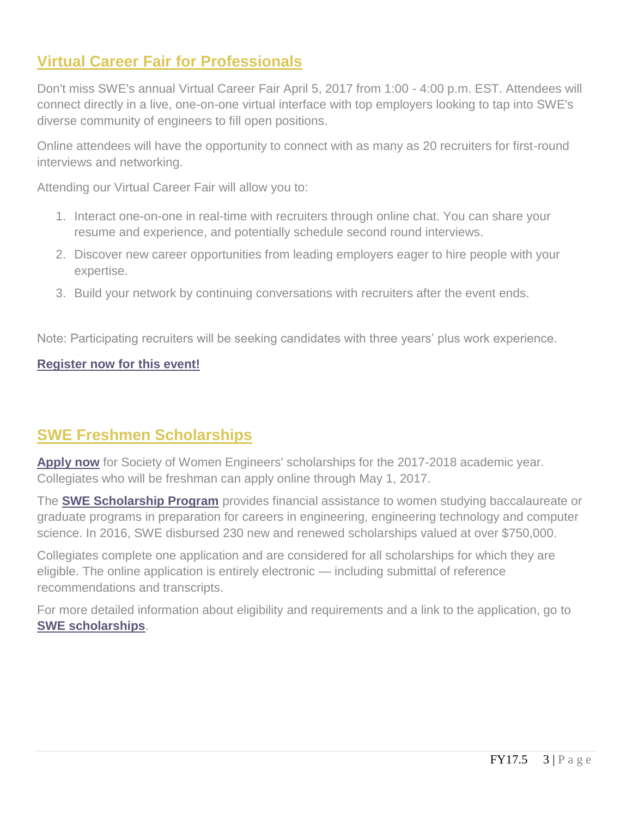# **Virtual Career Fair for Professionals**

Don't miss SWE's annual Virtual Career Fair April 5, 2017 from 1:00 - 4:00 p.m. EST. Attendees will connect directly in a live, one-on-one virtual interface with top employers looking to tap into SWE's diverse community of engineers to fill open positions.

Online attendees will have the opportunity to connect with as many as 20 recruiters for first-round interviews and networking.

Attending our Virtual Career Fair will allow you to:

- 1. Interact one-on-one in real-time with recruiters through online chat. You can share your resume and experience, and potentially schedule second round interviews.
- 2. Discover new career opportunities from leading employers eager to hire people with your expertise.
- 3. Build your network by continuing conversations with recruiters after the event ends.

Note: Participating recruiters will be seeking candidates with three years' plus work experience.

#### **[Register now for this event!](http://online.swe.org/swessa/ecmssamsganalytics.click_through?p_mail_id=E173173A4280312B1C1998065)**

# **SWE Freshmen Scholarships**

[Apply now](http://online.swe.org/swessa/ecmssamsganalytics.click_through?p_mail_id=E175824A4500648B1C2032312) for Society of Women Engineers' scholarships for the 2017-2018 academic year. Collegiates who will be freshman can apply online through May 1, 2017.

The **[SWE Scholarship Program](http://online.swe.org/swessa/ecmssamsganalytics.click_through?p_mail_id=E175824A4500648B1C2032313)** provides financial assistance to women studying baccalaureate or graduate programs in preparation for careers in engineering, engineering technology and computer science. In 2016, SWE disbursed 230 new and renewed scholarships valued at over \$750,000.

Collegiates complete one application and are considered for all scholarships for which they are eligible. The online application is entirely electronic — including submittal of reference recommendations and transcripts.

For more detailed information about eligibility and requirements and a link to the application, go to **[SWE scholarships](http://online.swe.org/swessa/ecmssamsganalytics.click_through?p_mail_id=E175824A4500648B1C2032313)**.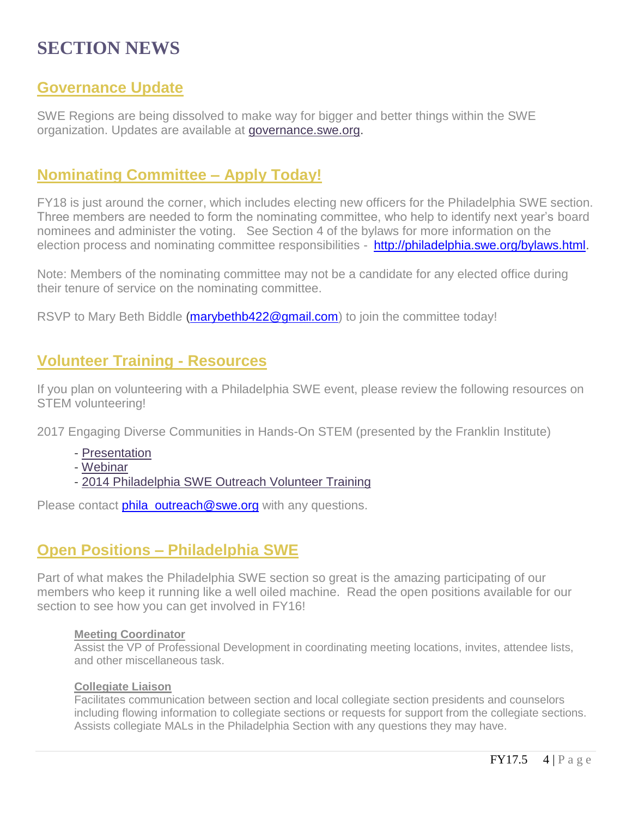# **SECTION NEWS**

### **Governance Update**

SWE Regions are being dissolved to make way for bigger and better things within the SWE organization. Updates are available at [governance.swe.org.](http://r20.rs6.net/tn.jsp?f=00187RGNsSt6TSgHXMZsLcTW1Pj20qShDcpYxWdAXRIpKg5QynKVfs4pSH2XT42iBR1tG37WLlKbF_DJ2IsedExL5Q5Tu4XSgcYmysSuV_O5FHZCBcNvz5eFOGimu-8u6n5WVxFHzR_lS_RMk-qffTYzg==&c=mpu2B0LXSgIXEs_wwhkL9p78Hsv9VS5oK9FKjmRzgQcgP31yoS9HCw==&ch=QDy16iykvPBlAX8vVFXrX_rP9QYbcYWZ_TpMS5loHOgB1b-yV2EHvQ==)

### **Nominating Committee – Apply Today!**

FY18 is just around the corner, which includes electing new officers for the Philadelphia SWE section. Three members are needed to form the nominating committee, who help to identify next year's board nominees and administer the voting. See Section 4 of the bylaws for more information on the election process and nominating committee responsibilities - [http://philadelphia.swe.org/bylaws.html.](http://philadelphia.swe.org/bylaws.html)

Note: Members of the nominating committee may not be a candidate for any elected office during their tenure of service on the nominating committee.

RSVP to Mary Beth Biddle [\(marybethb422@gmail.com\)](mailto:marybethb422@gmail.com?subject=Philadelphia%20SWE) to join the committee today!

### **Volunteer Training - Resources**

If you plan on volunteering with a Philadelphia SWE event, please review the following resources on STEM volunteering!

2017 Engaging Diverse Communities in Hands-On STEM (presented by the Franklin Institute)

- [Presentation](http://r20.rs6.net/tn.jsp?f=001xOXu840DJNqWAtNsj68doxSSaMJqlnOaRypjAPzGXxH_Cu6beFKuHj5RRyTNOoxkN_4_zHGZg8kBwK1oz4hbLfYRWWYIMDqgBUu2jAFiysjW--oUFoPeaAvynW7pId1pcZ_1raV99H9QZZ6VlZKJ2sSEf0FATt8AlCU8rOuozUYknPJS2qfKWc5s2k3KwgXaxi-QOx8jq5DQ5jGNL6vtHV6F2ST8zqewinnn_lfAX-X2zIlm6eTa1uvGwB3SlJKE&c=35evDAJj3oWPyl4VvkRXS5yXW8jlneYF-UufJ1XMka8bzn7qe6-Dfw==&ch=xqjsc6qIRmtq9IboekzvjlanLUSzsrBCM4SPOcZiZuAc0523tqbgFA==)
- [Webinar](http://r20.rs6.net/tn.jsp?f=001xOXu840DJNqWAtNsj68doxSSaMJqlnOaRypjAPzGXxH_Cu6beFKuHj5RRyTNOoxk2vUHOKKTBKTQCZvqEgCVhFIvYcagV9WEPI5-6eb_DGiLSAsCbenG2EQ4Kjr7ZKIn8B4BuDlB0P19p0cJ-Z7ERuhLy2_ZRzWOCQ7VDPm78qGKANYn8AlFo0Q4B6Os9Q0VvUD0eu2fzAGpifGajCt3HZNetL963MPDt0iLgQVF_mM=&c=35evDAJj3oWPyl4VvkRXS5yXW8jlneYF-UufJ1XMka8bzn7qe6-Dfw==&ch=xqjsc6qIRmtq9IboekzvjlanLUSzsrBCM4SPOcZiZuAc0523tqbgFA==)
- [2014 Philadelphia SWE Outreach Volunteer Training](http://r20.rs6.net/tn.jsp?f=001xOXu840DJNqWAtNsj68doxSSaMJqlnOaRypjAPzGXxH_Cu6beFKuHj5RRyTNOoxkyESsq9LFEn3dKYgvhmuMi2IYFSxL5fwVl2h7AsZWmGC6JghICHcs6wB0XiTjI7R9MUQjqFUKojTyaPYRHOY9FX29DU0lQ6FB3te40v4f1-VwE9LuMwqoIcGv2n7wnA-ONMCM-rB9qgSdrbQj9Gk5Z97rbQJflk0uHBoKRecFXbvpQb0Lv13xLg==&c=35evDAJj3oWPyl4VvkRXS5yXW8jlneYF-UufJ1XMka8bzn7qe6-Dfw==&ch=xqjsc6qIRmtq9IboekzvjlanLUSzsrBCM4SPOcZiZuAc0523tqbgFA==)

Please contact *[phila\\_outreach@swe.org](mailto:phila_outreach@swe.org)* with any questions.

### **Open Positions – Philadelphia SWE**

Part of what makes the Philadelphia SWE section so great is the amazing participating of our members who keep it running like a well oiled machine. Read the open positions available for our section to see how you can get involved in FY16!

#### **Meeting Coordinator**

Assist the VP of Professional Development in coordinating meeting locations, invites, attendee lists, and other miscellaneous task.

#### **Collegiate Liaison**

Facilitates communication between section and local collegiate section presidents and counselors including flowing information to collegiate sections or requests for support from the collegiate sections. Assists collegiate MALs in the Philadelphia Section with any questions they may have.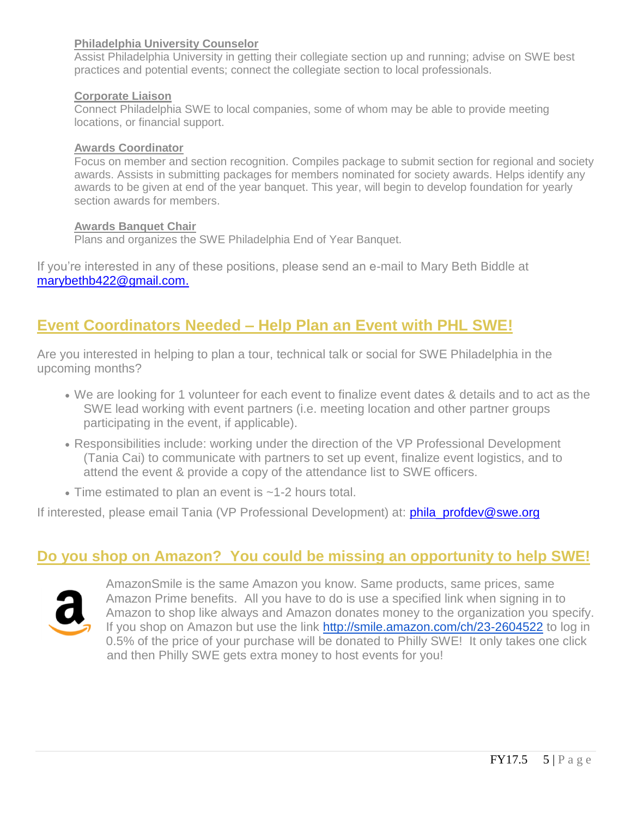#### **Philadelphia University Counselor**

Assist Philadelphia University in getting their collegiate section up and running; advise on SWE best practices and potential events; connect the collegiate section to local professionals.

#### **Corporate Liaison**

Connect Philadelphia SWE to local companies, some of whom may be able to provide meeting locations, or financial support.

#### **Awards Coordinator**

Focus on member and section recognition. Compiles package to submit section for regional and society awards. Assists in submitting packages for members nominated for society awards. Helps identify any awards to be given at end of the year banquet. This year, will begin to develop foundation for yearly section awards for members.

#### **Awards Banquet Chair**

Plans and organizes the SWE Philadelphia End of Year Banquet.

If you're interested in any of these positions, please send an e-mail to Mary Beth Biddle at [marybethb422@gmail.com.](mailto:marybethb422@gmail.com?subject=Philadelphia%20SWE)

### **Event Coordinators Needed – Help Plan an Event with PHL SWE!**

Are you interested in helping to plan a tour, technical talk or social for SWE Philadelphia in the upcoming months?

- We are looking for 1 volunteer for each event to finalize event dates & details and to act as the SWE lead working with event partners (i.e. meeting location and other partner groups participating in the event, if applicable).
- Responsibilities include: working under the direction of the VP Professional Development (Tania Cai) to communicate with partners to set up event, finalize event logistics, and to attend the event & provide a copy of the attendance list to SWE officers.
- Time estimated to plan an event is ~1-2 hours total.

If interested, please email Tania (VP Professional Development) at: **phila profdev@swe.org** 

### **Do you shop on Amazon? You could be missing an opportunity to help SWE!**



AmazonSmile is the same Amazon you know. Same products, same prices, same Amazon Prime benefits. All you have to do is use a specified link when signing in to Amazon to shop like always and Amazon donates money to the organization you specify. If you shop on Amazon but use the link <http://smile.amazon.com/ch/23-2604522> to log in 0.5% of the price of your purchase will be donated to Philly SWE! It only takes one click and then Philly SWE gets extra money to host events for you!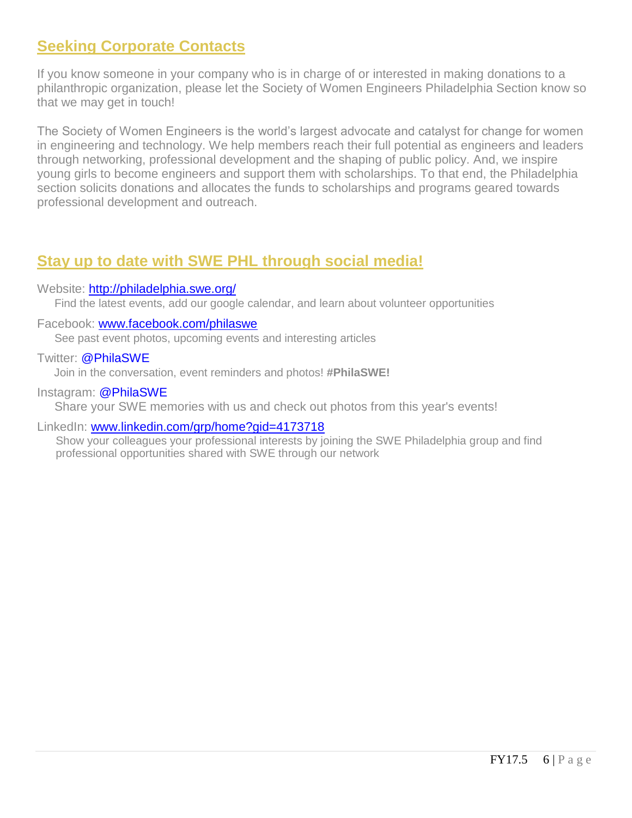# **Seeking Corporate Contacts**

If you know someone in your company who is in charge of or interested in making donations to a philanthropic organization, please let the Society of Women Engineers Philadelphia Section know so that we may get in touch!

The Society of Women Engineers is the world's largest advocate and catalyst for change for women in engineering and technology. We help members reach their full potential as engineers and leaders through networking, professional development and the shaping of public policy. And, we inspire young girls to become engineers and support them with scholarships. To that end, the Philadelphia section solicits donations and allocates the funds to scholarships and programs geared towards professional development and outreach.

# **Stay up to date with SWE PHL through social media!**

#### Website: <http://philadelphia.swe.org/>

Find the latest events, add our google calendar, and learn about volunteer opportunities

#### Facebook: [www.facebook.com/philaswe](http://www.facebook.com/philaswe)

See past event photos, upcoming events and interesting articles

#### Twitter: @PhilaSWE

Join in the conversation, event reminders and photos! **#PhilaSWE!**

#### Instagram: @PhilaSWE

Share your SWE memories with us and check out photos from this year's events!

#### LinkedIn: [www.linkedin.com/grp/home?gid=4173718](http://www.linkedin.com/grp/home?gid=4173718)

Show your colleagues your professional interests by joining the SWE Philadelphia group and find professional opportunities shared with SWE through our network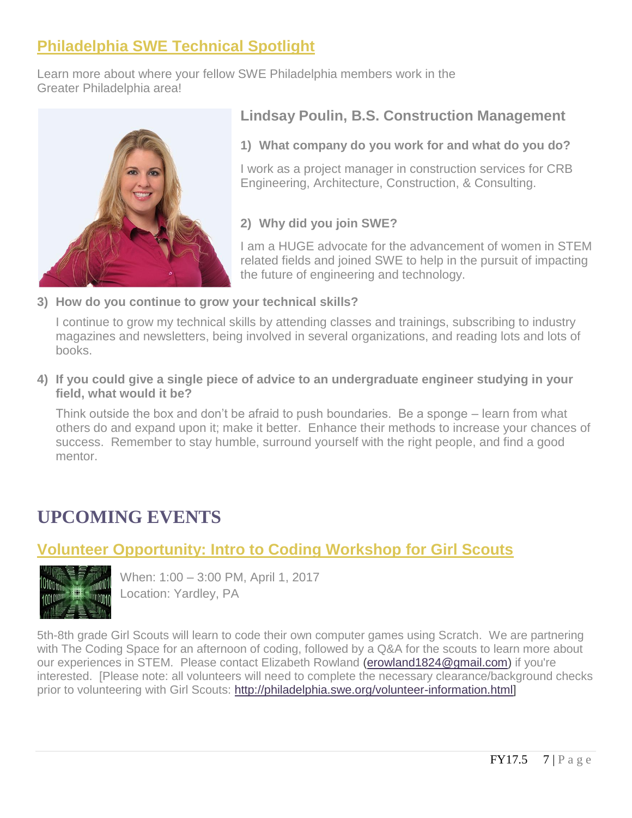# **Philadelphia SWE Technical Spotlight**

Learn more about where your fellow SWE Philadelphia members work in the Greater Philadelphia area!



### **Lindsay Poulin, B.S. Construction Management**

**1) What company do you work for and what do you do?** 

I work as a project manager in construction services for CRB Engineering, Architecture, Construction, & Consulting.

### **2) Why did you join SWE?**

I am a HUGE advocate for the advancement of women in STEM related fields and joined SWE to help in the pursuit of impacting the future of engineering and technology.

**3) How do you continue to grow your technical skills?**

I continue to grow my technical skills by attending classes and trainings, subscribing to industry magazines and newsletters, being involved in several organizations, and reading lots and lots of books.

**4) If you could give a single piece of advice to an undergraduate engineer studying in your field, what would it be?**

Think outside the box and don't be afraid to push boundaries. Be a sponge – learn from what others do and expand upon it; make it better. Enhance their methods to increase your chances of success. Remember to stay humble, surround yourself with the right people, and find a good mentor.

# **UPCOMING EVENTS**

# **Volunteer Opportunity: Intro to Coding Workshop for Girl Scouts**



When: 1:00 – 3:00 PM, April 1, 2017 Location: Yardley, PA

5th-8th grade Girl Scouts will learn to code their own computer games using Scratch. We are partnering with The Coding Space for an afternoon of coding, followed by a Q&A for the scouts to learn more about our experiences in STEM. Please contact Elizabeth Rowland [\(erowland1824@gmail.com\)](mailto:erowland1824@gmail.com) if you're interested. [Please note: all volunteers will need to complete the necessary clearance/background checks prior to volunteering with Girl Scouts: [http://philadelphia.swe.org/volunteer-information.html\]](http://r20.rs6.net/tn.jsp?f=001xOXu840DJNqWAtNsj68doxSSaMJqlnOaRypjAPzGXxH_Cu6beFKuHj5RRyTNOoxksZkEJTPhbUIS2HVzQCjh0cR6sxe_XMESFfDYrkO-bKjtyT9RJ6AsRBkgW2sqgcH0380ZYTIbH48busuYSrxpPtKDikafFzTvevIE01zA2m-qjv5HbsrVz71BmL7Wf3FU&c=35evDAJj3oWPyl4VvkRXS5yXW8jlneYF-UufJ1XMka8bzn7qe6-Dfw==&ch=xqjsc6qIRmtq9IboekzvjlanLUSzsrBCM4SPOcZiZuAc0523tqbgFA==)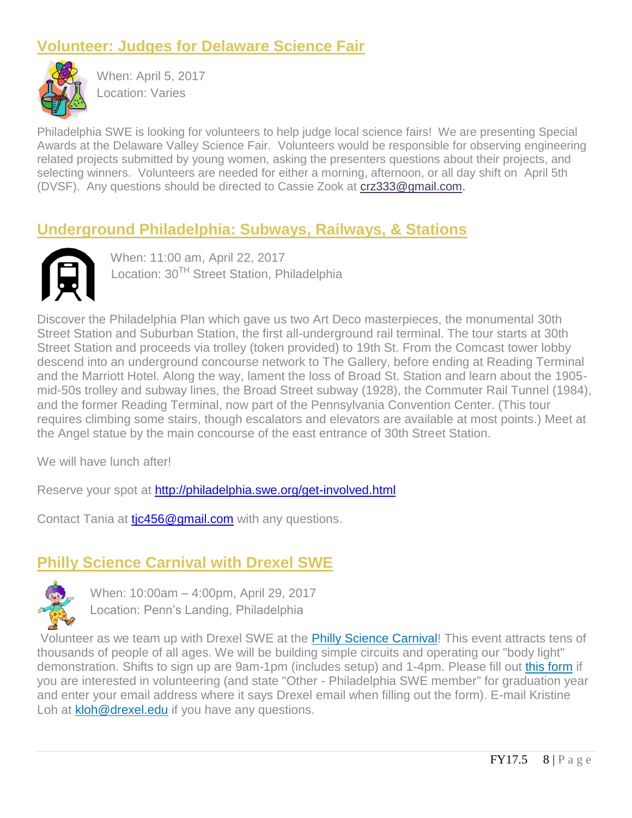# **Volunteer: Judges for Delaware Science Fair**



When: April 5, 2017 Location: Varies

Philadelphia SWE is looking for volunteers to help judge local science fairs! We are presenting Special Awards at the Delaware Valley Science Fair. Volunteers would be responsible for observing engineering related projects submitted by young women, asking the presenters questions about their projects, and selecting winners. Volunteers are needed for either a morning, afternoon, or all day shift on April 5th (DVSF). Any questions should be directed to Cassie Zook at [crz333@gmail.com.](mailto:crz333@gmail.com)

# **Underground Philadelphia: Subways, Railways, & Stations**



 When: 11:00 am, April 22, 2017 Location: 30<sup>TH</sup> Street Station, Philadelphia

Discover the Philadelphia Plan which gave us two Art Deco masterpieces, the monumental 30th Street Station and Suburban Station, the first all-underground rail terminal. The tour starts at 30th Street Station and proceeds via trolley (token provided) to 19th St. From the Comcast tower lobby descend into an underground concourse network to The Gallery, before ending at Reading Terminal and the Marriott Hotel. Along the way, lament the loss of Broad St. Station and learn about the 1905 mid-50s trolley and subway lines, the Broad Street subway (1928), the Commuter Rail Tunnel (1984), and the former Reading Terminal, now part of the Pennsylvania Convention Center. (This tour requires climbing some stairs, though escalators and elevators are available at most points.) Meet at the Angel statue by the main concourse of the east entrance of 30th Street Station.

We will have lunch after!

Reserve your spot at<http://philadelphia.swe.org/get-involved.html>

Contact Tania at tic456@gmail.com with any questions.

# **Philly Science Carnival with Drexel SWE**



When: 10:00am – 4:00pm, April 29, 2017 Location: Penn's Landing, Philadelphia

Volunteer as we team up with Drexel SWE at the [Philly Science Carnival!](http://r20.rs6.net/tn.jsp?f=00187RGNsSt6TSgHXMZsLcTW1Pj20qShDcpYxWdAXRIpKg5QynKVfs4pSH2XT42iBR11I9l-YFN1_hpLFrrAHo9ZoGWVo1hWLBRbY8VHL717JjbefVnTf_i4jS5Pn9fXopobZ1UfVMnIHszrfKUo95s67BMbpafIzNvdpV0rQNKTqtn92veQa-eww==&c=mpu2B0LXSgIXEs_wwhkL9p78Hsv9VS5oK9FKjmRzgQcgP31yoS9HCw==&ch=QDy16iykvPBlAX8vVFXrX_rP9QYbcYWZ_TpMS5loHOgB1b-yV2EHvQ==) This event attracts tens of thousands of people of all ages. We will be building simple circuits and operating our "body light" demonstration. Shifts to sign up are 9am-1pm (includes setup) and 1-4pm. Please fill out [this form](http://r20.rs6.net/tn.jsp?f=00187RGNsSt6TSgHXMZsLcTW1Pj20qShDcpYxWdAXRIpKg5QynKVfs4pSH2XT42iBR179iP5mJjwBVS6S2cp_6kBi_c_ln5NIgrkh2l2HcJ6JY_873wlEVDC4LJPUTPRAzKKBWdr2sbrjVn_HGPf74F88KqJiHaeloTnN8tjXAzmh0=&c=mpu2B0LXSgIXEs_wwhkL9p78Hsv9VS5oK9FKjmRzgQcgP31yoS9HCw==&ch=QDy16iykvPBlAX8vVFXrX_rP9QYbcYWZ_TpMS5loHOgB1b-yV2EHvQ==) if you are interested in volunteering (and state "Other - Philadelphia SWE member" for graduation year and enter your email address where it says Drexel email when filling out the form). E-mail Kristine Loh at **[kloh@drexel.edu](mailto:kloh@drexel.edu)** if you have any questions.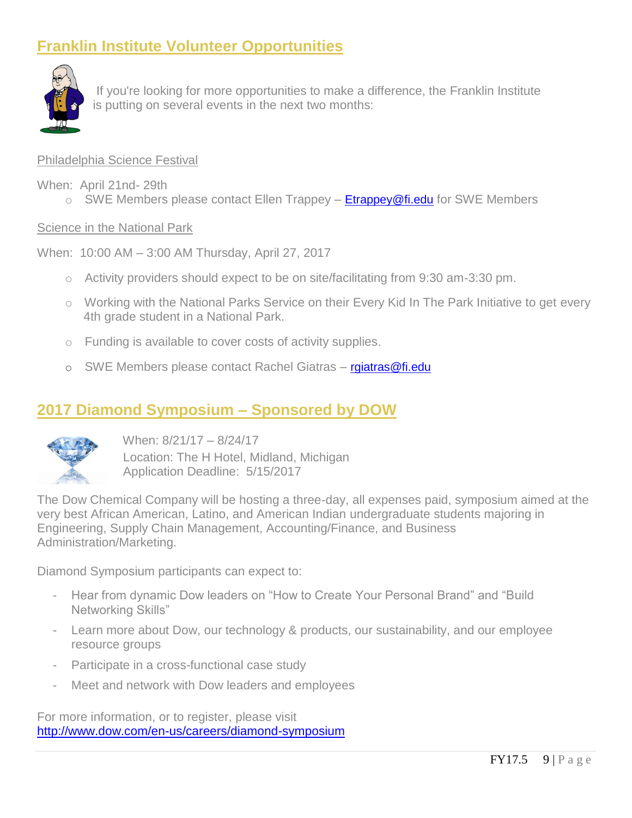# **Franklin Institute Volunteer Opportunities**



If you're looking for more opportunities to make a difference, the Franklin Institute is putting on several events in the next two months:

#### Philadelphia Science Festival

- When: April 21nd- 29th
	- $\circ$  SWE Members please contact Ellen Trappey **[Etrappey@fi.edu](mailto:Etrappey@fi.edu)** for SWE Members

#### Science in the National Park

When: 10:00 AM – 3:00 AM Thursday, April 27, 2017

- $\circ$  Activity providers should expect to be on site/facilitating from 9:30 am-3:30 pm.
- o Working with the National Parks Service on their Every Kid In The Park Initiative to get every 4th grade student in a National Park.
- o Funding is available to cover costs of activity supplies.
- o SWE Members please contact Rachel Giatras [rgiatras@fi.edu](mailto:rgiatras@fi.edu)

### **2017 Diamond Symposium – Sponsored by DOW**



When: 8/21/17 – 8/24/17 Location: The H Hotel, Midland, Michigan

Application Deadline: 5/15/2017

The Dow Chemical Company will be hosting a three-day, all expenses paid, symposium aimed at the very best African American, Latino, and American Indian undergraduate students majoring in Engineering, Supply Chain Management, Accounting/Finance, and Business Administration/Marketing.

Diamond Symposium participants can expect to:

- Hear from dynamic Dow leaders on "How to Create Your Personal Brand" and "Build Networking Skills"
- Learn more about Dow, our technology & products, our sustainability, and our employee resource groups
- Participate in a cross-functional case study
- Meet and network with Dow leaders and employees

For more information, or to register, please visit <http://www.dow.com/en-us/careers/diamond-symposium>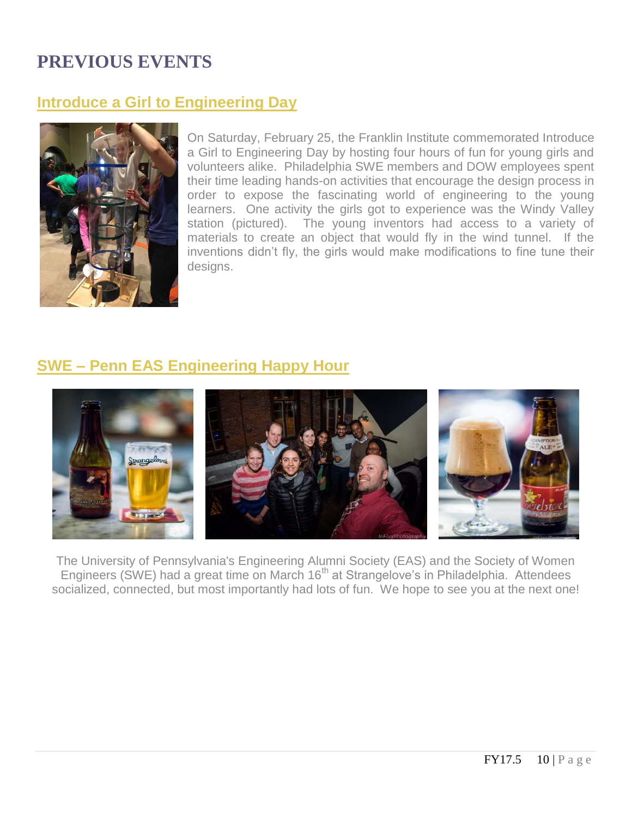# **PREVIOUS EVENTS**

### **Introduce a Girl to Engineering Day**



On Saturday, February 25, the Franklin Institute commemorated Introduce a Girl to Engineering Day by hosting four hours of fun for young girls and volunteers alike. Philadelphia SWE members and DOW employees spent their time leading hands-on activities that encourage the design process in order to expose the fascinating world of engineering to the young learners. One activity the girls got to experience was the Windy Valley station (pictured). The young inventors had access to a variety of materials to create an object that would fly in the wind tunnel. If the inventions didn't fly, the girls would make modifications to fine tune their designs.

# **SWE – Penn EAS Engineering Happy Hour**



The University of Pennsylvania's Engineering Alumni Society (EAS) and the Society of Women Engineers (SWE) had a great time on March 16<sup>th</sup> at Strangelove's in Philadelphia. Attendees socialized, connected, but most importantly had lots of fun. We hope to see you at the next one!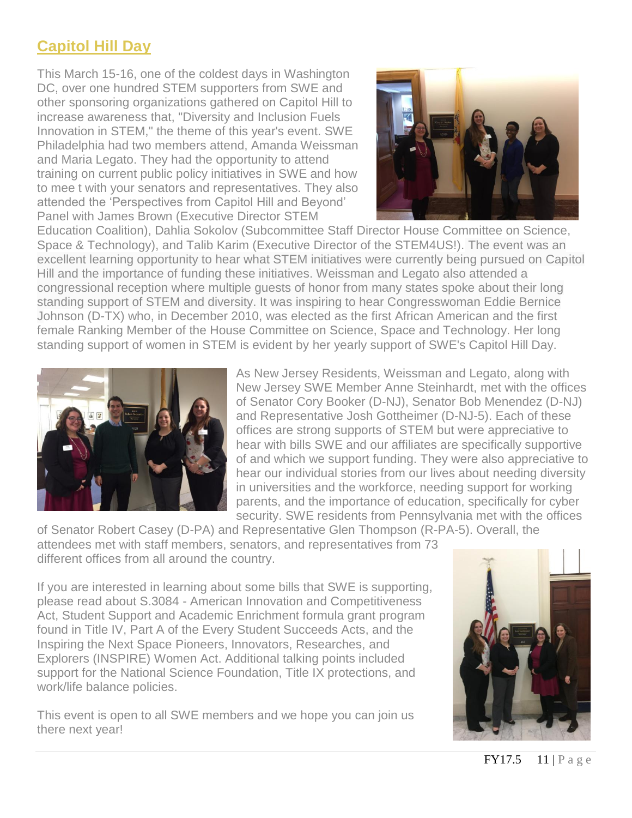# **Capitol Hill Day**

This March 15-16, one of the coldest days in Washington DC, over one hundred STEM supporters from SWE and other sponsoring organizations gathered on Capitol Hill to increase awareness that, "Diversity and Inclusion Fuels Innovation in STEM," the theme of this year's event. SWE Philadelphia had two members attend, Amanda Weissman and Maria Legato. They had the opportunity to attend training on current public policy initiatives in SWE and how to mee t with your senators and representatives. They also attended the 'Perspectives from Capitol Hill and Beyond' Panel with James Brown (Executive Director STEM



Education Coalition), Dahlia Sokolov (Subcommittee Staff Director House Committee on Science, Space & Technology), and Talib Karim (Executive Director of the STEM4US!). The event was an excellent learning opportunity to hear what STEM initiatives were currently being pursued on Capitol Hill and the importance of funding these initiatives. Weissman and Legato also attended a congressional reception where multiple guests of honor from many states spoke about their long standing support of STEM and diversity. It was inspiring to hear Congresswoman Eddie Bernice Johnson (D-TX) who, in December 2010, was elected as the first African American and the first female Ranking Member of the House Committee on Science, Space and Technology. Her long standing support of women in STEM is evident by her yearly support of SWE's Capitol Hill Day.



As New Jersey Residents, Weissman and Legato, along with New Jersey SWE Member Anne Steinhardt, met with the offices of Senator Cory Booker (D-NJ), Senator Bob Menendez (D-NJ) and Representative Josh Gottheimer (D-NJ-5). Each of these offices are strong supports of STEM but were appreciative to hear with bills SWE and our affiliates are specifically supportive of and which we support funding. They were also appreciative to hear our individual stories from our lives about needing diversity in universities and the workforce, needing support for working parents, and the importance of education, specifically for cyber security. SWE residents from Pennsylvania met with the offices

of Senator Robert Casey (D-PA) and Representative Glen Thompson (R-PA-5). Overall, the attendees met with staff members, senators, and representatives from 73 different offices from all around the country.

If you are interested in learning about some bills that SWE is supporting, please read about S.3084 - American Innovation and Competitiveness Act, Student Support and Academic Enrichment formula grant program found in Title IV, Part A of the Every Student Succeeds Acts, and the Inspiring the Next Space Pioneers, Innovators, Researches, and Explorers (INSPIRE) Women Act. Additional talking points included support for the National Science Foundation, Title IX protections, and work/life balance policies.

This event is open to all SWE members and we hope you can join us there next year!

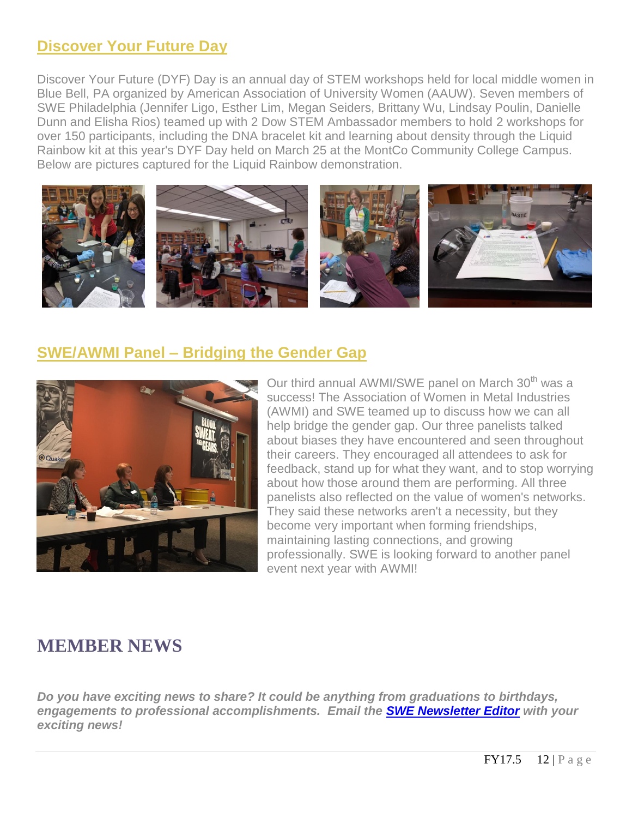### **Discover Your Future Day**

Discover Your Future (DYF) Day is an annual day of STEM workshops held for local middle women in Blue Bell, PA organized by American Association of University Women (AAUW). Seven members of SWE Philadelphia (Jennifer Ligo, Esther Lim, Megan Seiders, Brittany Wu, Lindsay Poulin, Danielle Dunn and Elisha Rios) teamed up with 2 Dow STEM Ambassador members to hold 2 workshops for over 150 participants, including the DNA bracelet kit and learning about density through the Liquid Rainbow kit at this year's DYF Day held on March 25 at the MontCo Community College Campus. Below are pictures captured for the Liquid Rainbow demonstration.



### **SWE/AWMI Panel – Bridging the Gender Gap**



Our third annual AWMI/SWE panel on March 30<sup>th</sup> was a success! The Association of Women in Metal Industries (AWMI) and SWE teamed up to discuss how we can all help bridge the gender gap. Our three panelists talked about biases they have encountered and seen throughout their careers. They encouraged all attendees to ask for feedback, stand up for what they want, and to stop worrying about how those around them are performing. All three panelists also reflected on the value of women's networks. They said these networks aren't a necessity, but they become very important when forming friendships, maintaining lasting connections, and growing professionally. SWE is looking forward to another panel event next year with AWMI!

# **MEMBER NEWS**

*Do you have exciting news to share? It could be anything from graduations to birthdays, engagements to professional accomplishments. Email the [SWE Newsletter Editor](mailto:philasweeditors@gmail.com) with your exciting news!*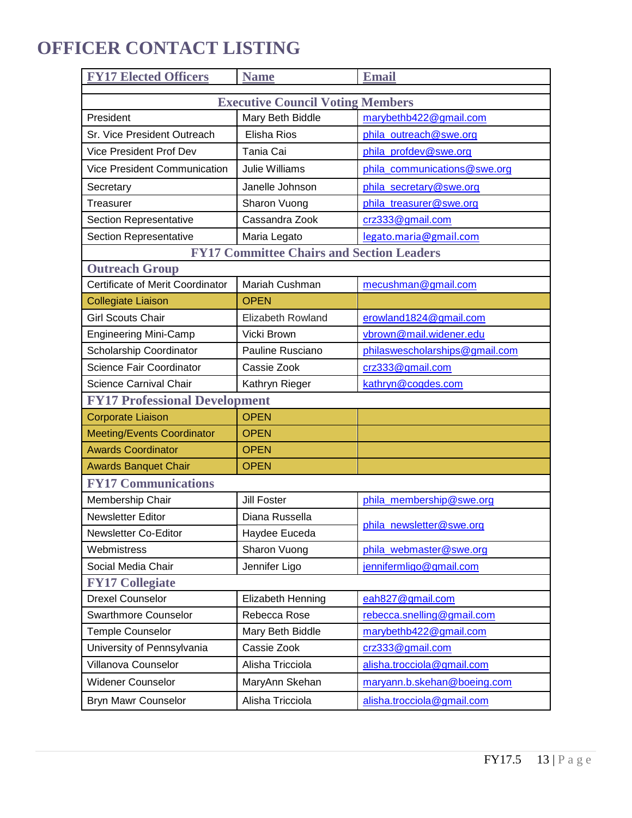# **OFFICER CONTACT LISTING**

| <b>FY17 Elected Officers</b>                     | <b>Name</b>              | <b>Email</b>                   |  |
|--------------------------------------------------|--------------------------|--------------------------------|--|
| <b>Executive Council Voting Members</b>          |                          |                                |  |
| President                                        | Mary Beth Biddle         | marybethb422@gmail.com         |  |
| Sr. Vice President Outreach                      | <b>Elisha Rios</b>       | phila outreach@swe.org         |  |
| <b>Vice President Prof Dev</b>                   | Tania Cai                | phila_profdev@swe.org          |  |
| Vice President Communication                     | Julie Williams           | phila_communications@swe.org   |  |
| Secretary                                        | Janelle Johnson          | phila secretary@swe.org        |  |
| Treasurer                                        | Sharon Vuong             | phila_treasurer@swe.org        |  |
| <b>Section Representative</b>                    | Cassandra Zook           | crz333@gmail.com               |  |
| <b>Section Representative</b>                    | Maria Legato             | legato.maria@gmail.com         |  |
| <b>FY17 Committee Chairs and Section Leaders</b> |                          |                                |  |
| <b>Outreach Group</b>                            |                          |                                |  |
| Certificate of Merit Coordinator                 | Mariah Cushman           | mecushman@gmail.com            |  |
| <b>Collegiate Liaison</b>                        | <b>OPEN</b>              |                                |  |
| <b>Girl Scouts Chair</b>                         | <b>Elizabeth Rowland</b> | erowland1824@gmail.com         |  |
| <b>Engineering Mini-Camp</b>                     | Vicki Brown              | vbrown@mail.widener.edu        |  |
| Scholarship Coordinator                          | Pauline Rusciano         | philaswescholarships@gmail.com |  |
| Science Fair Coordinator                         | Cassie Zook              | crz333@gmail.com               |  |
| <b>Science Carnival Chair</b>                    | Kathryn Rieger           | kathryn@cogdes.com             |  |
| <b>FY17 Professional Development</b>             |                          |                                |  |
| <b>Corporate Liaison</b>                         | <b>OPEN</b>              |                                |  |
| <b>Meeting/Events Coordinator</b>                | <b>OPEN</b>              |                                |  |
| <b>Awards Coordinator</b>                        | <b>OPEN</b>              |                                |  |
| <b>Awards Banquet Chair</b>                      | <b>OPEN</b>              |                                |  |
| <b>FY17 Communications</b>                       |                          |                                |  |
| Membership Chair                                 | <b>Jill Foster</b>       | phila_membership@swe.org       |  |
| Newsletter Editor                                | Diana Russella           | phila_newsletter@swe.org       |  |
| Newsletter Co-Editor                             | Haydee Euceda            |                                |  |
| Webmistress                                      | Sharon Vuong             | phila_webmaster@swe.org        |  |
| Social Media Chair                               | Jennifer Ligo            | jennifermligo@gmail.com        |  |
| <b>FY17 Collegiate</b>                           |                          |                                |  |
| <b>Drexel Counselor</b>                          | Elizabeth Henning        | eah827@gmail.com               |  |
| <b>Swarthmore Counselor</b>                      | Rebecca Rose             | rebecca.snelling@gmail.com     |  |
| <b>Temple Counselor</b>                          | Mary Beth Biddle         | marybethb422@gmail.com         |  |
| University of Pennsylvania                       | Cassie Zook              | crz333@gmail.com               |  |
| Villanova Counselor                              | Alisha Tricciola         | alisha.trocciola@gmail.com     |  |
| <b>Widener Counselor</b>                         | MaryAnn Skehan           | maryann.b.skehan@boeing.com    |  |
| Bryn Mawr Counselor                              | Alisha Tricciola         | alisha.trocciola@gmail.com     |  |